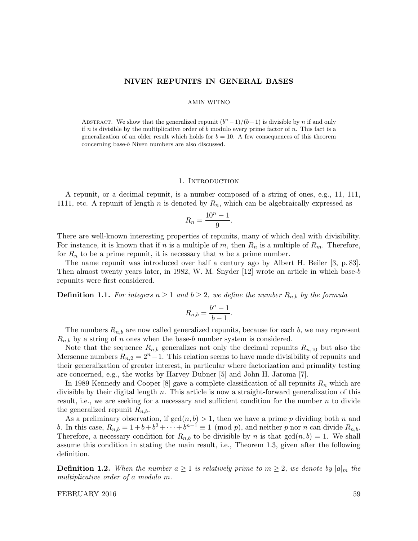#### NIVEN REPUNITS IN GENERAL BASES

#### AMIN WITNO

ABSTRACT. We show that the generalized repunit  $(b<sup>n</sup> - 1)/(b - 1)$  is divisible by *n* if and only if n is divisible by the multiplicative order of b modulo every prime factor of n. This fact is a generalization of an older result which holds for  $b = 10$ . A few consequences of this theorem concerning base-b Niven numbers are also discussed.

# 1. INTRODUCTION

A repunit, or a decimal repunit, is a number composed of a string of ones, e.g., 11, 111, 1111, etc. A repunit of length n is denoted by  $R_n$ , which can be algebraically expressed as

$$
R_n = \frac{10^n - 1}{9}.
$$

There are well-known interesting properties of repunits, many of which deal with divisibility. For instance, it is known that if n is a multiple of m, then  $R_n$  is a multiple of  $R_m$ . Therefore, for  $R_n$  to be a prime repunit, it is necessary that n be a prime number.

The name repunit was introduced over half a century ago by Albert H. Beiler [3, p. 83]. Then almost twenty years later, in 1982, W. M. Snyder [12] wrote an article in which base-b repunits were first considered.

**Definition 1.1.** For integers  $n \geq 1$  and  $b \geq 2$ , we define the number  $R_{n,b}$  by the formula

$$
R_{n,b} = \frac{b^n - 1}{b - 1}.
$$

The numbers  $R_{n,b}$  are now called generalized repunits, because for each b, we may represent  $R_{n,b}$  by a string of n ones when the base-b number system is considered.

Note that the sequence  $R_{n,b}$  generalizes not only the decimal repunits  $R_{n,10}$  but also the Mersenne numbers  $R_{n,2} = 2^{n}-1$ . This relation seems to have made divisibility of repunits and their generalization of greater interest, in particular where factorization and primality testing are concerned, e.g., the works by Harvey Dubner [5] and John H. Jaroma [7].

In 1989 Kennedy and Cooper [8] gave a complete classification of all repunits  $R_n$  which are divisible by their digital length  $n$ . This article is now a straight-forward generalization of this result, i.e., we are seeking for a necessary and sufficient condition for the number  $n$  to divide the generalized repunit  $R_{n,b}$ .

As a preliminary observation, if  $gcd(n, b) > 1$ , then we have a prime p dividing both n and b. In this case,  $R_{n,b} = 1 + b + b^2 + \cdots + b^{n-1} \equiv 1 \pmod{p}$ , and neither p nor n can divide  $R_{n,b}$ . Therefore, a necessary condition for  $R_{n,b}$  to be divisible by n is that  $gcd(n, b) = 1$ . We shall assume this condition in stating the main result, i.e., Theorem 1.3, given after the following definition.

**Definition 1.2.** When the number  $a \geq 1$  is relatively prime to  $m \geq 2$ , we denote by  $|a|_m$  the multiplicative order of a modulo m.

# FEBRUARY 2016 59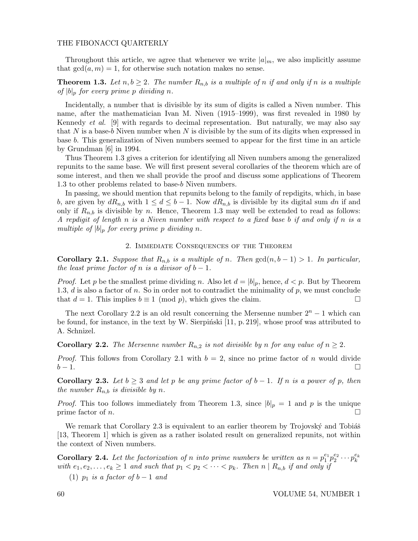# THE FIBONACCI QUARTERLY

Throughout this article, we agree that whenever we write  $|a|_m$ , we also implicitly assume that  $gcd(a, m) = 1$ , for otherwise such notation makes no sense.

**Theorem 1.3.** Let  $n, b \geq 2$ . The number  $R_{n,b}$  is a multiple of n if and only if n is a multiple of  $|b|_p$  for every prime p dividing n.

Incidentally, a number that is divisible by its sum of digits is called a Niven number. This name, after the mathematician Ivan M. Niven (1915–1999), was first revealed in 1980 by Kennedy et al. [9] with regards to decimal representation. But naturally, we may also say that N is a base-b Niven number when N is divisible by the sum of its digits when expressed in base b. This generalization of Niven numbers seemed to appear for the first time in an article by Grundman [6] in 1994.

Thus Theorem 1.3 gives a criterion for identifying all Niven numbers among the generalized repunits to the same base. We will first present several corollaries of the theorem which are of some interest, and then we shall provide the proof and discuss some applications of Theorem 1.3 to other problems related to base-b Niven numbers.

In passing, we should mention that repunits belong to the family of repdigits, which, in base b, are given by  $dR_{n,b}$  with  $1 \leq d \leq b-1$ . Now  $dR_{n,b}$  is divisible by its digital sum dn if and only if  $R_{n,b}$  is divisible by n. Hence, Theorem 1.3 may well be extended to read as follows: A repdigit of length n is a Niven number with respect to a fixed base b if and only if n is a multiple of  $|b|_p$  for every prime p dividing n.

# 2. Immediate Consequences of the Theorem

Corollary 2.1. Suppose that  $R_{n,b}$  is a multiple of n. Then  $gcd(n, b - 1) > 1$ . In particular, the least prime factor of n is a divisor of  $b-1$ .

*Proof.* Let p be the smallest prime dividing n. Also let  $d = |b|_p$ , hence,  $d < p$ . But by Theorem 1.3, d is also a factor of n. So in order not to contradict the minimality of  $p$ , we must conclude that  $d = 1$ . This implies  $b \equiv 1 \pmod{p}$ , which gives the claim.

The next Corollary 2.2 is an old result concerning the Mersenne number  $2<sup>n</sup> - 1$  which can be found, for instance, in the text by W. Sierpinski  $[11, p. 219]$ , whose proof was attributed to A. Schnizel.

**Corollary 2.2.** The Mersenne number  $R_{n,2}$  is not divisible by n for any value of  $n \geq 2$ .

*Proof.* This follows from Corollary 2.1 with  $b = 2$ , since no prime factor of n would divide  $b-1.$ 

**Corollary 2.3.** Let  $b \geq 3$  and let p be any prime factor of  $b-1$ . If n is a power of p, then the number  $R_{n,b}$  is divisible by n.

*Proof.* This too follows immediately from Theorem 1.3, since  $|b|_p = 1$  and p is the unique prime factor of *n*.

We remark that Corollary 2.3 is equivalent to an earlier theorem by Trojovský and Tobiáš [13, Theorem 1] which is given as a rather isolated result on generalized repunits, not within the context of Niven numbers.

**Corollary 2.4.** Let the factorization of n into prime numbers be written as  $n = p_1^{e_1}$  $_{1}^{e_{1}}p_{2}^{e_{2}}$  $e_2^{e_2}\cdots p_k^{e_k}$ with  $e_1, e_2, \ldots, e_k \geq 1$  and such that  $p_1 < p_2 < \cdots < p_k$ . Then  $n | R_{n,b}$  if and only if

(1)  $p_1$  is a factor of  $b-1$  and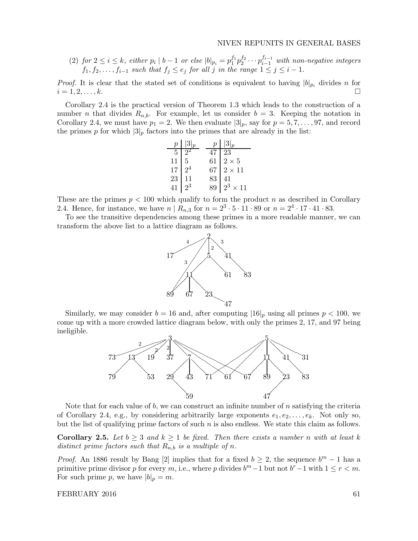(2) for  $2 \leq i \leq k$ , either  $p_i \mid b-1$  or else  $|b|_{p_i} = p_1^{f_1}$  $_1^{f_1}p_2^{f_2}$  $i_2^{f_2} \cdots p_{i-1}^{f_{i-1}}$  with non-negative integers  $f_1, f_2, \ldots, f_{i-1}$  such that  $f_j \le e_j$  for all j in the range  $1 \le j \le i-1$ .

*Proof.* It is clear that the stated set of conditions is equivalent to having  $|b|_{p_i}$  divides n for  $i = 1, 2, \ldots, k.$ 

Corollary 2.4 is the practical version of Theorem 1.3 which leads to the construction of a number n that divides  $R_{n,b}$ . For example, let us consider  $b = 3$ . Keeping the notation in Corollary 2.4, we must have  $p_1 = 2$ . We then evaluate  $|3|_p$ , say for  $p = 5, 7, \ldots, 97$ , and record the primes p for which  $|3|_p$  factors into the primes that are already in the list:

|                 | $p \mid  3 _p$ |    | $p \mid  3 _p$             |
|-----------------|----------------|----|----------------------------|
| $\overline{5}$  | $\gamma$       | 47 | $\overline{23}$            |
| $\frac{11}{17}$ | 5 <sup>5</sup> | 61 | $2\times5$                 |
|                 |                |    | $67$   $2\times11$         |
| 23              | 11             | 83 | $\dfrac{41}{2^3\times 11}$ |
| 41              |                |    |                            |

These are the primes  $p < 100$  which qualify to form the product n as described in Corollary 2.4. Hence, for instance, we have  $n | R_{n,3}$  for  $n = 2^3 \cdot 5 \cdot 11 \cdot 89$  or  $n = 2^4 \cdot 17 \cdot 41 \cdot 83$ .

To see the transitive dependencies among these primes in a more readable manner, we can transform the above list to a lattice diagram as follows.



Similarly, we may consider  $b = 16$  and, after computing  $|16|_p$  using all primes  $p < 100$ , we come up with a more crowded lattice diagram below, with only the primes 2, 17, and 97 being ineligible.



Note that for each value of b, we can construct an infinite number of n satisfying the criteria of Corollary 2.4, e.g., by considering arbitrarily large exponents  $e_1, e_2, \ldots, e_k$ . Not only so, but the list of qualifying prime factors of such  $n$  is also endless. We state this claim as follows.

**Corollary 2.5.** Let  $b \geq 3$  and  $k \geq 1$  be fixed. Then there exists a number n with at least k distinct prime factors such that  $R_{n,b}$  is a multiple of n.

*Proof.* An 1886 result by Bang [2] implies that for a fixed  $b \ge 2$ , the sequence  $b^m - 1$  has a primitive prime divisor p for every m, i.e., where p divides  $b^m - 1$  but not  $b^r - 1$  with  $1 \le r < m$ . For such prime p, we have  $|b|_p = m$ .

FEBRUARY 2016 61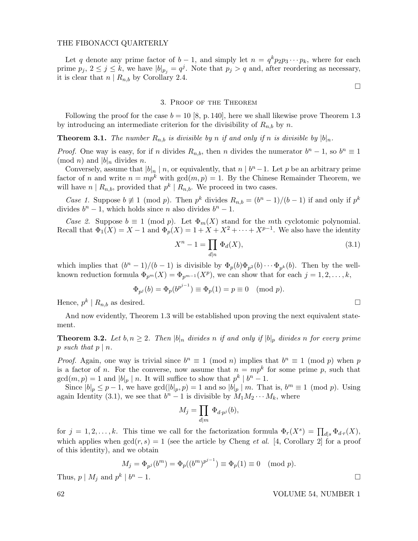# THE FIBONACCI QUARTERLY

Let q denote any prime factor of  $b-1$ , and simply let  $n = q^k p_2 p_3 \cdots p_k$ , where for each prime  $p_j, 2 \leq j \leq k$ , we have  $|b|_{p_j} = q^j$ . Note that  $p_j > q$  and, after reordering as necessary, it is clear that  $n | R_{n,b}$  by Corollary 2.4.

 $\Box$ 

### 3. Proof of the Theorem

Following the proof for the case  $b = 10$  [8, p. 140], here we shall likewise prove Theorem 1.3 by introducing an intermediate criterion for the divisibility of  $R_{n,b}$  by n.

**Theorem 3.1.** The number  $R_{n,b}$  is divisible by n if and only if n is divisible by  $|b|_n$ .

*Proof.* One way is easy, for if n divides  $R_{n,b}$ , then n divides the numerator  $b^n - 1$ , so  $b^n \equiv 1$  $\pmod{n}$  and  $|b|_n$  divides n.

Conversely, assume that  $|b|_n \mid n$ , or equivalently, that  $n \mid b^n - 1$ . Let p be an arbitrary prime factor of n and write  $n = mp^k$  with  $gcd(m, p) = 1$ . By the Chinese Remainder Theorem, we will have  $n \mid R_{n,b}$ , provided that  $p^k \mid R_{n,b}$ . We proceed in two cases.

*Case 1.* Suppose  $b \neq 1 \pmod{p}$ . Then  $p^k$  divides  $R_{n,b} = (b^n - 1)/(b - 1)$  if and only if  $p^k$ divides  $b<sup>n</sup> - 1$ , which holds since *n* also divides  $b<sup>n</sup> - 1$ .

Case 2. Suppose  $b \equiv 1 \pmod{p}$ . Let  $\Phi_m(X)$  stand for the mth cyclotomic polynomial. Recall that  $\Phi_1(X) = X - 1$  and  $\Phi_p(X) = 1 + X + X^2 + \cdots + X^{p-1}$ . We also have the identity

$$
X^n - 1 = \prod_{d|n} \Phi_d(X),\tag{3.1}
$$

which implies that  $(b^{n} - 1)/(b - 1)$  is divisible by  $\Phi_{p}(b)\Phi_{p^{2}}(b)\cdots\Phi_{p^{k}}(b)$ . Then by the wellknown reduction formula  $\Phi_{p^m}(X) = \Phi_{p^{m-1}}(X^p)$ , we can show that for each  $j = 1, 2, \ldots, k$ ,

$$
\Phi_{p^j}(b) = \Phi_p(b^{p^{j-1}}) \equiv \Phi_p(1) = p \equiv 0 \pmod{p}.
$$

Hence,  $p^k \mid R_{n,b}$  as desired.

And now evidently, Theorem 1.3 will be established upon proving the next equivalent statement.

**Theorem 3.2.** Let  $b, n \geq 2$ . Then  $|b|_n$  divides n if and only if  $|b|_p$  divides n for every prime p such that  $p \mid n$ .

*Proof.* Again, one way is trivial since  $b^n \equiv 1 \pmod{n}$  implies that  $b^n \equiv 1 \pmod{p}$  when p is a factor of *n*. For the converse, now assume that  $n = mp^k$  for some prime p, such that  $gcd(m, p) = 1$  and  $|b|_p \mid n$ . It will suffice to show that  $p^k \mid b^n - 1$ .

Since  $|b|_p \leq p-1$ , we have  $gcd(|b|_p, p) = 1$  and so  $|b|_p \mid m$ . That is,  $b^m \equiv 1 \pmod{p}$ . Using again Identity (3.1), we see that  $b<sup>n</sup> - 1$  is divisible by  $M_1 M_2 \cdots M_k$ , where

$$
M_j = \prod_{d|m} \Phi_{d\cdot p^j}(b),
$$

for  $j = 1, 2, ..., k$ . This time we call for the factorization formula  $\Phi_r(X^s) = \prod_{d|s} \Phi_{d,r}(X)$ , which applies when  $gcd(r, s) = 1$  (see the article by Cheng *et al.* [4, Corollary 2] for a proof of this identity), and we obtain

$$
M_j = \Phi_{p^j}(b^m) = \Phi_p((b^m)^{p^{j-1}}) \equiv \Phi_p(1) \equiv 0 \pmod{p}.
$$
  
\n<sup>k</sup> | b<sup>n</sup> - 1.

Thus,  $p \mid M_j$  and  $p^k \mid b$ 

62 VOLUME 54, NUMBER 1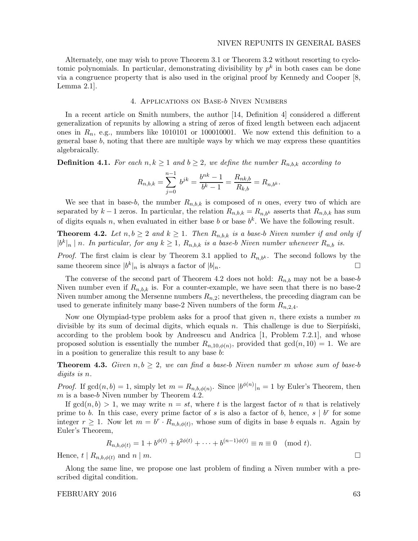Alternately, one may wish to prove Theorem 3.1 or Theorem 3.2 without resorting to cyclotomic polynomials. In particular, demonstrating divisibility by  $p^k$  in both cases can be done via a congruence property that is also used in the original proof by Kennedy and Cooper [8, Lemma 2.1].

# 4. Applications on Base-b Niven Numbers

In a recent article on Smith numbers, the author [14, Definition 4] considered a different generalization of repunits by allowing a string of zeros of fixed length between each adjacent ones in  $R_n$ , e.g., numbers like 1010101 or 100010001. We now extend this definition to a general base  $b$ , noting that there are multiple ways by which we may express these quantities algebraically.

**Definition 4.1.** For each  $n, k \geq 1$  and  $b \geq 2$ , we define the number  $R_{n,b,k}$  according to

$$
R_{n,b,k} = \sum_{j=0}^{n-1} b^{jk} = \frac{b^{nk} - 1}{b^k - 1} = \frac{R_{nk,b}}{R_{k,b}} = R_{n,b^k}.
$$

We see that in base-b, the number  $R_{n,b,k}$  is composed of n ones, every two of which are separated by  $k-1$  zeros. In particular, the relation  $R_{n,b,k} = R_{n,b,k}$  asserts that  $R_{n,b,k}$  has sum of digits equals n, when evaluated in either base b or base  $b<sup>k</sup>$ . We have the following result.

**Theorem 4.2.** Let  $n, b \ge 2$  and  $k \ge 1$ . Then  $R_{n,b,k}$  is a base-b Niven number if and only if  $|b^k|_n \mid n$ . In particular, for any  $k \geq 1$ ,  $R_{n,b,k}$  is a base-b Niven number whenever  $R_{n,b}$  is.

*Proof.* The first claim is clear by Theorem 3.1 applied to  $R_{n,b^k}$ . The second follows by the same theorem since  $|b^k|_n$  is always a factor of  $|b|_n$ .

The converse of the second part of Theorem 4.2 does not hold:  $R_{n,b}$  may not be a base-b Niven number even if  $R_{n,b,k}$  is. For a counter-example, we have seen that there is no base-2 Niven number among the Mersenne numbers  $R_{n,2}$ ; nevertheless, the preceding diagram can be used to generate infinitely many base-2 Niven numbers of the form  $R_{n,2,4}$ .

Now one Olympiad-type problem asks for a proof that given  $n$ , there exists a number  $m$ divisible by its sum of decimal digits, which equals n. This challenge is due to Sierpinski, according to the problem book by Andreescu and Andrica [1, Problem 7.2.1], and whose proposed solution is essentially the number  $R_{n,10,\phi(n)}$ , provided that  $gcd(n,10) = 1$ . We are in a position to generalize this result to any base b:

**Theorem 4.3.** Given  $n, b \geq 2$ , we can find a base-b Niven number m whose sum of base-b digits is n.

*Proof.* If  $gcd(n, b) = 1$ , simply let  $m = R_{n, b, \phi(n)}$ . Since  $|b^{\phi(n)}|_n = 1$  by Euler's Theorem, then  $m$  is a base-b Niven number by Theorem 4.2.

If  $gcd(n, b) > 1$ , we may write  $n = st$ , where t is the largest factor of n that is relatively prime to b. In this case, every prime factor of s is also a factor of b, hence,  $s \mid b^r$  for some integer  $r \geq 1$ . Now let  $m = b^r \cdot R_{n,b,\phi(t)}$ , whose sum of digits in base b equals n. Again by Euler's Theorem,

$$
R_{n,b,\phi(t)} = 1 + b^{\phi(t)} + b^{2\phi(t)} + \dots + b^{(n-1)\phi(t)} \equiv n \equiv 0 \pmod{t}.
$$

Hence,  $t | R_{n,b,\phi(t)}$  and  $n | m$ .

Along the same line, we propose one last problem of finding a Niven number with a prescribed digital condition.

### FEBRUARY 2016 63